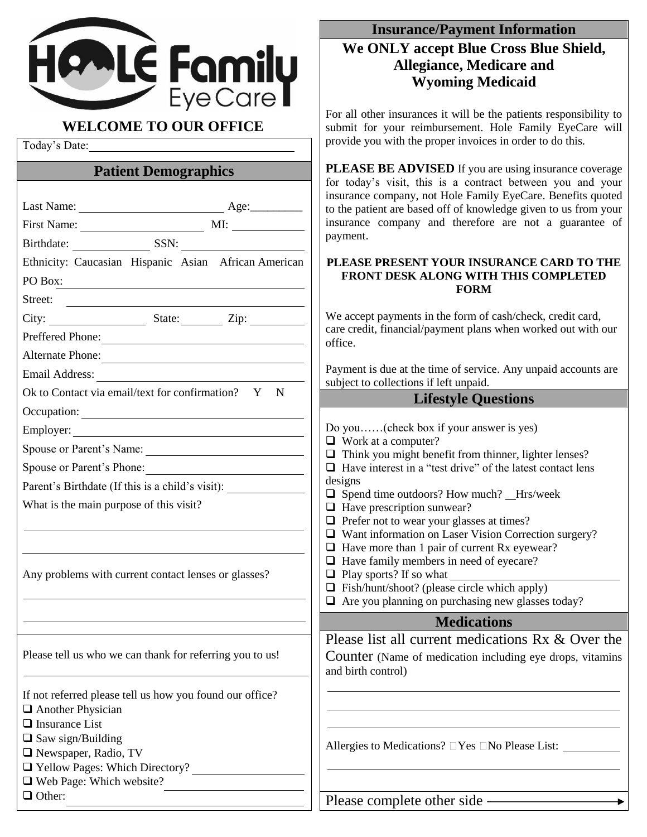

Today's Date:

# **Patient Demographics**

|                                                          | for loday s visit, this is a contract between you and your<br>insurance company, not Hole Family EyeCare. Benefits quoted |
|----------------------------------------------------------|---------------------------------------------------------------------------------------------------------------------------|
|                                                          | to the patient are based off of knowledge given to us from your                                                           |
|                                                          | insurance company and therefore are not a guarantee of                                                                    |
| Birthdate: SSN:                                          | payment.                                                                                                                  |
| Ethnicity: Caucasian Hispanic Asian African American     | PLEASE PRESENT YOUR INSURANCE CARD TO THE                                                                                 |
| PO Box: $\qquad \qquad$                                  | FRONT DESK ALONG WITH THIS COMPLETED<br><b>FORM</b>                                                                       |
| Street:                                                  |                                                                                                                           |
|                                                          | We accept payments in the form of cash/check, credit card,                                                                |
| Preffered Phone:                                         | care credit, financial/payment plans when worked out with our<br>office.                                                  |
| Alternate Phone:                                         |                                                                                                                           |
|                                                          | Payment is due at the time of service. Any unpaid accounts are<br>subject to collections if left unpaid.                  |
| Ok to Contact via email/text for confirmation? Y N       | <b>Lifestyle Questions</b>                                                                                                |
|                                                          |                                                                                                                           |
|                                                          | Do you(check box if your answer is yes)                                                                                   |
| Spouse or Parent's Name:                                 | $\Box$ Work at a computer?<br>$\Box$ Think you might benefit from thinner, lighter lenses?                                |
| Spouse or Parent's Phone:                                | $\Box$ Have interest in a "test drive" of the latest contact lens                                                         |
| Parent's Birthdate (If this is a child's visit):         | designs                                                                                                                   |
| What is the main purpose of this visit?                  | $\Box$ Spend time outdoors? How much? _Hrs/week<br>$\Box$ Have prescription sunwear?                                      |
|                                                          | $\Box$ Prefer not to wear your glasses at times?                                                                          |
|                                                          | $\Box$ Want information on Laser Vision Correction surgery?                                                               |
|                                                          | $\Box$ Have more than 1 pair of current Rx eyewear?<br>$\Box$ Have family members in need of eyecare?                     |
| Any problems with current contact lenses or glasses?     | $\Box$ Play sports? If so what                                                                                            |
|                                                          | $\Box$ Fish/hunt/shoot? (please circle which apply)                                                                       |
|                                                          | $\Box$ Are you planning on purchasing new glasses today?                                                                  |
|                                                          | <b>Medications</b>                                                                                                        |
|                                                          | Please list all current medications Rx & Over the                                                                         |
| Please tell us who we can thank for referring you to us! | Counter (Name of medication including eye drops, vitamins                                                                 |
|                                                          | and birth control)                                                                                                        |
| If not referred please tell us how you found our office? |                                                                                                                           |
| $\Box$ Another Physician                                 |                                                                                                                           |
| $\Box$ Insurance List<br>$\Box$ Saw sign/Building        |                                                                                                                           |
| $\Box$ Newspaper, Radio, TV                              | Allergies to Medications? $\Box$ Yes $\Box$ No Please List:                                                               |
| T Yellow Pages: Which Directory?                         |                                                                                                                           |
| $\Box$ Web Page: Which website?                          |                                                                                                                           |
| $\Box$ Other:                                            | Please complete other side —                                                                                              |
|                                                          |                                                                                                                           |

## **Insurance/Payment Information**

# **We ONLY accept Blue Cross Blue Shield, Allegiance, Medicare and Wyoming Medicaid**

For all other insurances it will be the patients responsibility to submit for your reimbursement. Hole Family EyeCare will provide you with the proper invoices in order to do this.

**PLEASE BE ADVISED** If you are using insurance coverage for today's visit, this is a contract between you and your are. Benefits quoted ven to us from your ot a guarantee of

# **E CARD TO THE FROMPLETED**